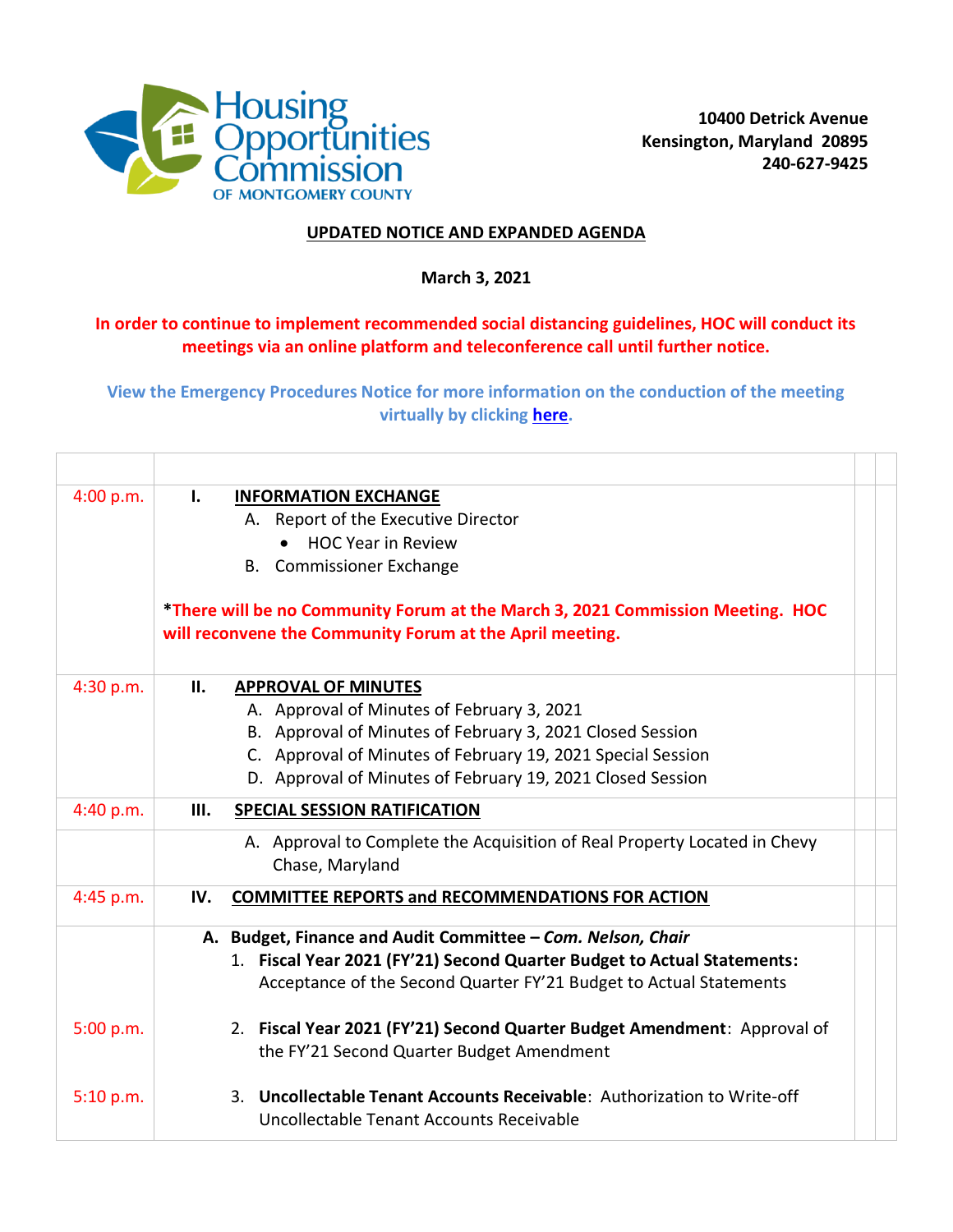

## **UPDATED NOTICE AND EXPANDED AGENDA**

## **March 3, 2021**

## **In order to continue to implement recommended social distancing guidelines, HOC will conduct its meetings via an online platform and teleconference call until further notice.**

**View the Emergency Procedures Notice for more information on the conduction of the meeting virtually by clicking [here.](https://hocmc.org/images/files/CommissionAgenda/2021/NOTICE_Open_Meeting_Emergency_Procedures_Announcement_03032021v2.pdf)**

| 4:00 p.m. | Ъ.<br><b>INFORMATION EXCHANGE</b><br>A. Report of the Executive Director                                                                   |  |
|-----------|--------------------------------------------------------------------------------------------------------------------------------------------|--|
|           | <b>HOC Year in Review</b>                                                                                                                  |  |
|           | <b>B.</b> Commissioner Exchange                                                                                                            |  |
|           | *There will be no Community Forum at the March 3, 2021 Commission Meeting. HOC<br>will reconvene the Community Forum at the April meeting. |  |
| 4:30 p.m. | II.<br><b>APPROVAL OF MINUTES</b>                                                                                                          |  |
|           | A. Approval of Minutes of February 3, 2021                                                                                                 |  |
|           | B. Approval of Minutes of February 3, 2021 Closed Session                                                                                  |  |
|           | C. Approval of Minutes of February 19, 2021 Special Session                                                                                |  |
|           | D. Approval of Minutes of February 19, 2021 Closed Session                                                                                 |  |
| 4:40 p.m. | <b>SPECIAL SESSION RATIFICATION</b><br>III.                                                                                                |  |
|           | A. Approval to Complete the Acquisition of Real Property Located in Chevy<br>Chase, Maryland                                               |  |
| 4:45 p.m. | <b>COMMITTEE REPORTS and RECOMMENDATIONS FOR ACTION</b><br>IV.                                                                             |  |
|           | A. Budget, Finance and Audit Committee - Com. Nelson, Chair                                                                                |  |
|           | 1. Fiscal Year 2021 (FY'21) Second Quarter Budget to Actual Statements:                                                                    |  |
|           | Acceptance of the Second Quarter FY'21 Budget to Actual Statements                                                                         |  |
| 5:00 p.m. | 2. Fiscal Year 2021 (FY'21) Second Quarter Budget Amendment: Approval of<br>the FY'21 Second Quarter Budget Amendment                      |  |
| 5:10 p.m. | 3. Uncollectable Tenant Accounts Receivable: Authorization to Write-off<br>Uncollectable Tenant Accounts Receivable                        |  |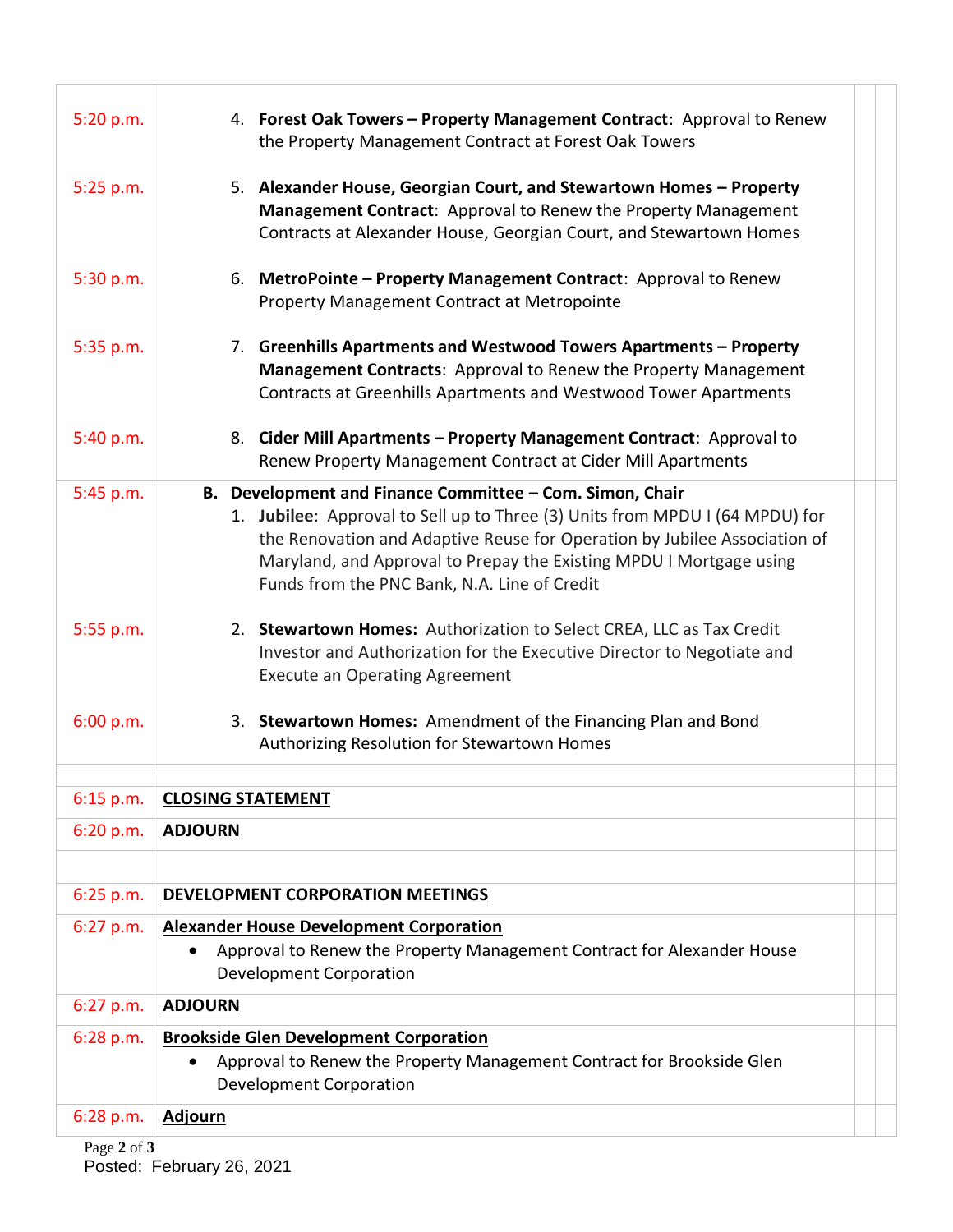| 5:20 p.m.   | 4. Forest Oak Towers - Property Management Contract: Approval to Renew<br>the Property Management Contract at Forest Oak Towers                                                                                                                                                                                                              |
|-------------|----------------------------------------------------------------------------------------------------------------------------------------------------------------------------------------------------------------------------------------------------------------------------------------------------------------------------------------------|
| 5:25 p.m.   | 5. Alexander House, Georgian Court, and Stewartown Homes – Property<br>Management Contract: Approval to Renew the Property Management<br>Contracts at Alexander House, Georgian Court, and Stewartown Homes                                                                                                                                  |
| 5:30 p.m.   | 6. MetroPointe – Property Management Contract: Approval to Renew<br>Property Management Contract at Metropointe                                                                                                                                                                                                                              |
| 5:35 p.m.   | 7. Greenhills Apartments and Westwood Towers Apartments – Property<br><b>Management Contracts: Approval to Renew the Property Management</b><br>Contracts at Greenhills Apartments and Westwood Tower Apartments                                                                                                                             |
| 5:40 p.m.   | 8. Cider Mill Apartments – Property Management Contract: Approval to<br>Renew Property Management Contract at Cider Mill Apartments                                                                                                                                                                                                          |
| 5:45 p.m.   | B. Development and Finance Committee - Com. Simon, Chair<br>1. Jubilee: Approval to Sell up to Three (3) Units from MPDU I (64 MPDU) for<br>the Renovation and Adaptive Reuse for Operation by Jubilee Association of<br>Maryland, and Approval to Prepay the Existing MPDU I Mortgage using<br>Funds from the PNC Bank, N.A. Line of Credit |
| 5:55 p.m.   | 2. Stewartown Homes: Authorization to Select CREA, LLC as Tax Credit<br>Investor and Authorization for the Executive Director to Negotiate and<br><b>Execute an Operating Agreement</b>                                                                                                                                                      |
| 6:00 p.m.   | 3. Stewartown Homes: Amendment of the Financing Plan and Bond<br>Authorizing Resolution for Stewartown Homes                                                                                                                                                                                                                                 |
| $6:15$ p.m. | <b>CLOSING STATEMENT</b>                                                                                                                                                                                                                                                                                                                     |
| 6:20 p.m.   | <b>ADJOURN</b>                                                                                                                                                                                                                                                                                                                               |
|             |                                                                                                                                                                                                                                                                                                                                              |
| 6:25 p.m.   | <b>DEVELOPMENT CORPORATION MEETINGS</b>                                                                                                                                                                                                                                                                                                      |
| $6:27$ p.m. | <b>Alexander House Development Corporation</b><br>Approval to Renew the Property Management Contract for Alexander House<br>$\bullet$<br><b>Development Corporation</b>                                                                                                                                                                      |
| 6:27 p.m.   | <b>ADJOURN</b>                                                                                                                                                                                                                                                                                                                               |
| $6:28$ p.m. | <b>Brookside Glen Development Corporation</b><br>Approval to Renew the Property Management Contract for Brookside Glen<br>$\bullet$<br><b>Development Corporation</b>                                                                                                                                                                        |
| 6:28 p.m.   | <b>Adjourn</b>                                                                                                                                                                                                                                                                                                                               |